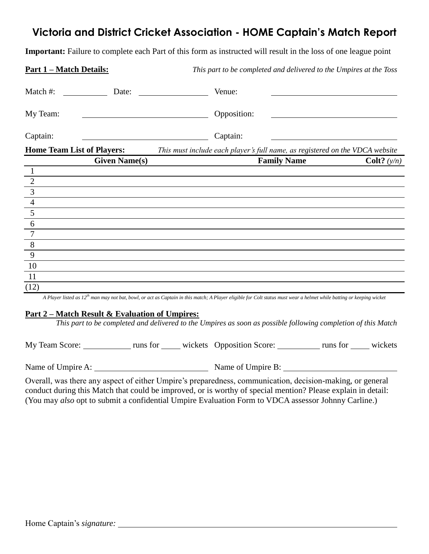## **Victoria and District Cricket Association - HOME Captain's Match Report**

**Important:** Failure to complete each Part of this form as instructed will result in the loss of one league point

| <u> Part 1 – Match Details:</u>                                                                                                  | This part to be completed and delivered to the Umpires at the Toss           |               |
|----------------------------------------------------------------------------------------------------------------------------------|------------------------------------------------------------------------------|---------------|
| Match #:<br>Date:                                                                                                                | Venue:                                                                       |               |
| My Team:                                                                                                                         | Opposition:                                                                  |               |
| Captain:<br><u> 1980 - Johann Barbara, martin de la populación de la propia de la propia de la propia de la propia de la pro</u> | Captain:                                                                     |               |
| <b>Home Team List of Players:</b>                                                                                                | This must include each player's full name, as registered on the VDCA website |               |
| <b>Given Name(s)</b>                                                                                                             | <b>Family Name</b>                                                           | Colt? $(y/n)$ |
| $\perp$                                                                                                                          |                                                                              |               |
|                                                                                                                                  |                                                                              |               |
|                                                                                                                                  |                                                                              |               |
|                                                                                                                                  |                                                                              |               |
| $\frac{2}{\frac{3}{\frac{4}{5}}}$                                                                                                |                                                                              |               |
| $\overline{6}$                                                                                                                   |                                                                              |               |
| $\overline{7}$                                                                                                                   |                                                                              |               |
| $\, 8$                                                                                                                           |                                                                              |               |
| 9                                                                                                                                |                                                                              |               |
| 10                                                                                                                               |                                                                              |               |
| 11                                                                                                                               |                                                                              |               |
| (12)                                                                                                                             |                                                                              |               |

*A Player listed as 12th man may not bat, bowl, or act as Captain in this match; A Player eligible for Colt status must wear a helmet while batting or keeping wicket*

#### **Part 2 – Match Result & Evaluation of Umpires:**

*This part to be completed and delivered to the Umpires as soon as possible following completion of this Match*

My Team Score: runs for wickets Opposition Score: runs for wickets

Name of Umpire A: Name of Umpire B:

Overall, was there any aspect of either Umpire's preparedness, communication, decision-making, or general conduct during this Match that could be improved, or is worthy of special mention? Please explain in detail: (You may *also* opt to submit a confidential Umpire Evaluation Form to VDCA assessor Johnny Carline.)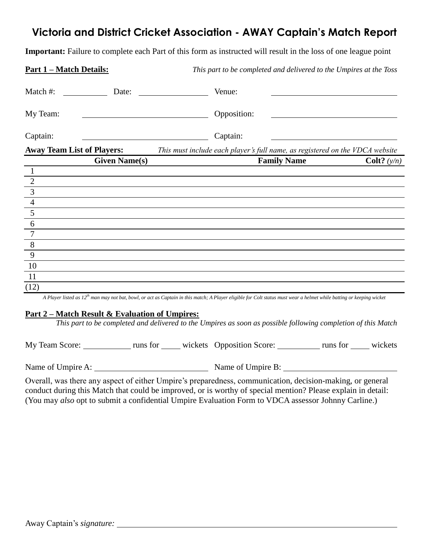## **Victoria and District Cricket Association - AWAY Captain's Match Report**

**Important:** Failure to complete each Part of this form as instructed will result in the loss of one league point

| <u> Part 1 – Match Details:</u>   | This part to be completed and delivered to the Umpires at the Toss           |               |
|-----------------------------------|------------------------------------------------------------------------------|---------------|
| Match #:<br>Date:                 | Venue:                                                                       |               |
| My Team:                          | Opposition:                                                                  |               |
| Captain:                          | Captain:<br><u> 1989 - Johann Stein, fransk politiker (d. 1989)</u>          |               |
| <b>Away Team List of Players:</b> | This must include each player's full name, as registered on the VDCA website |               |
| <b>Given Name(s)</b>              | <b>Family Name</b>                                                           | Colt? $(y/n)$ |
|                                   |                                                                              |               |
|                                   |                                                                              |               |
|                                   |                                                                              |               |
| $\frac{\frac{1}{2}}{\frac{3}{4}}$ |                                                                              |               |
|                                   |                                                                              |               |
| $\overline{6}$                    |                                                                              |               |
| $\overline{7}$                    |                                                                              |               |
| $\overline{8}$                    |                                                                              |               |
| 9                                 |                                                                              |               |
| 10                                |                                                                              |               |
| 11                                |                                                                              |               |
| (12)                              |                                                                              |               |

*A Player listed as 12th man may not bat, bowl, or act as Captain in this match; A Player eligible for Colt status must wear a helmet while batting or keeping wicket*

#### **Part 2 – Match Result & Evaluation of Umpires:**

*This part to be completed and delivered to the Umpires as soon as possible following completion of this Match*

My Team Score: runs for wickets Opposition Score: runs for wickets

Name of Umpire A: Name of Umpire B:

Overall, was there any aspect of either Umpire's preparedness, communication, decision-making, or general conduct during this Match that could be improved, or is worthy of special mention? Please explain in detail: (You may *also* opt to submit a confidential Umpire Evaluation Form to VDCA assessor Johnny Carline.)